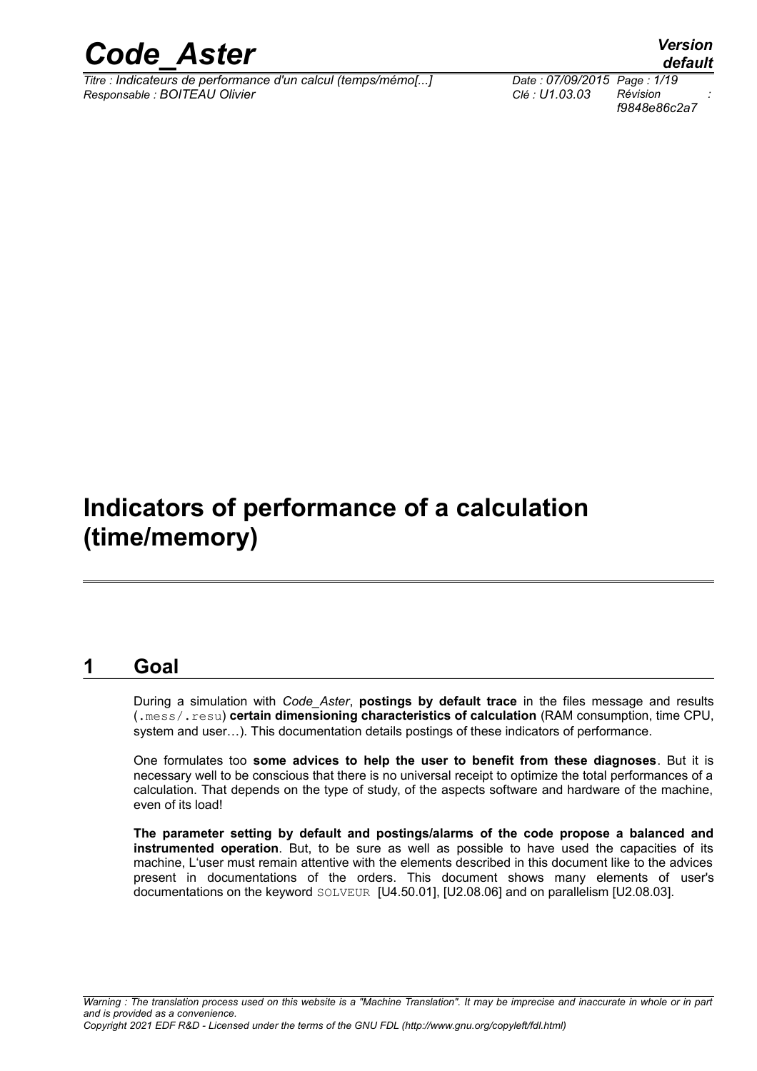

*Titre : Indicateurs de performance d'un calcul (temps/mémo[...] Date : 07/09/2015 Page : 1/19 Responsable : BOITEAU Olivier Clé : U1.03.03 Révision :*

*f9848e86c2a7*

## **Indicators of performance of a calculation (time/memory)**

## **1 Goal**

During a simulation with *Code\_Aster*, **postings by default trace** in the files message and results (.mess/.resu) **certain dimensioning characteristics of calculation** (RAM consumption, time CPU, system and user…). This documentation details postings of these indicators of performance.

One formulates too **some advices to help the user to benefit from these diagnoses**. But it is necessary well to be conscious that there is no universal receipt to optimize the total performances of a calculation. That depends on the type of study, of the aspects software and hardware of the machine, even of its load!

**The parameter setting by default and postings/alarms of the code propose a balanced and instrumented operation**. But, to be sure as well as possible to have used the capacities of its machine, L'user must remain attentive with the elements described in this document like to the advices present in documentations of the orders. This document shows many elements of user's documentations on the keyword SOLVEUR [U4.50.01], [U2.08.06] and on parallelism [U2.08.03].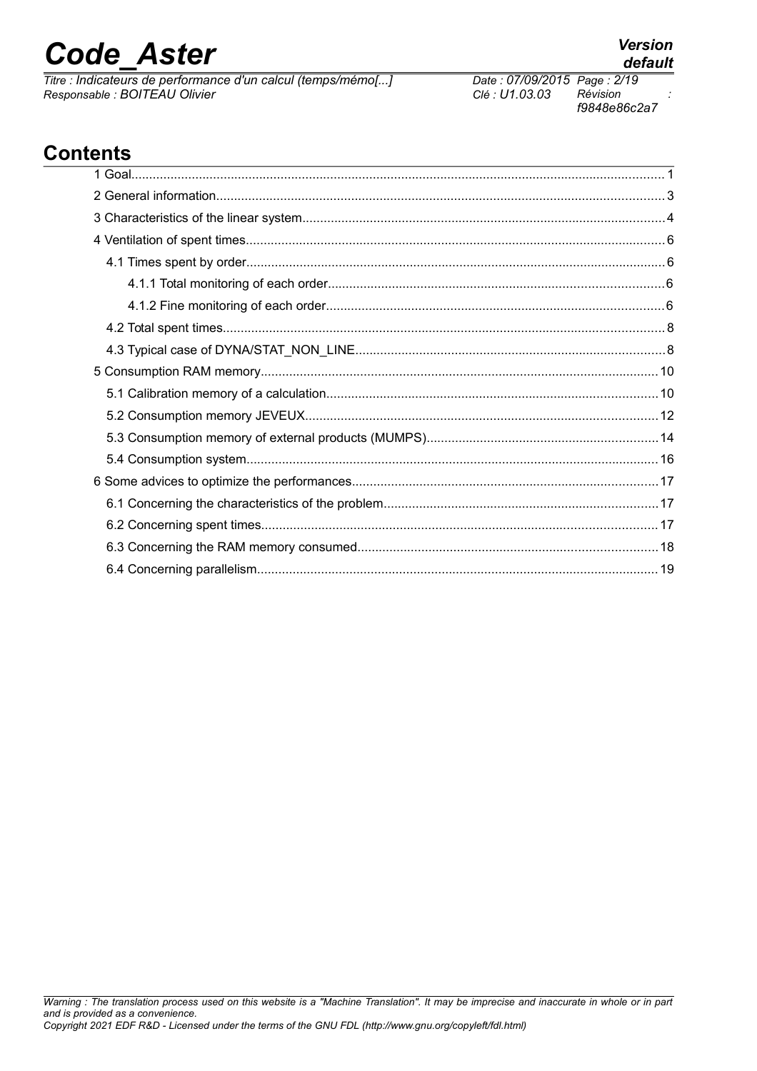*Titre : Indicateurs de performance d'un calcul (temps/mémo[...] Date : 07/09/2015 Page : 2/19 Responsable : BOITEAU Olivier Clé : U1.03.03 Révision :*

## **Contents**

*f9848e86c2a7*

*default*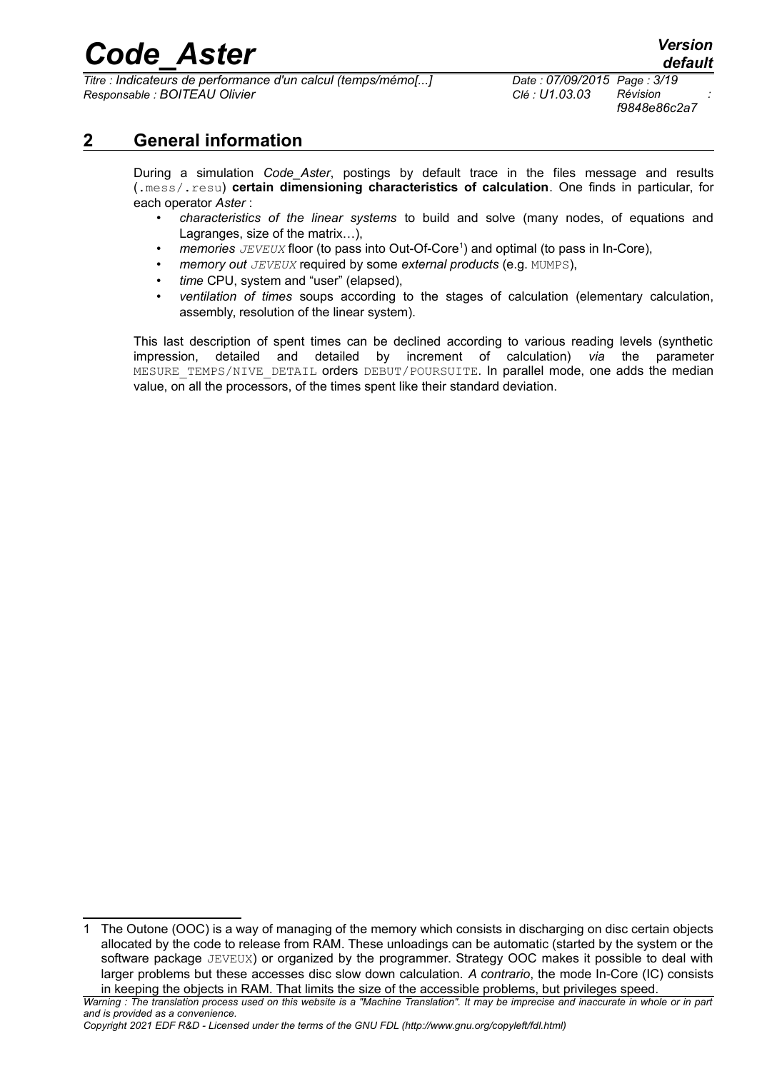*Titre : Indicateurs de performance d'un calcul (temps/mémo[...] Date : 07/09/2015 Page : 3/19 Responsable : BOITEAU Olivier Clé : U1.03.03 Révision :*

*f9848e86c2a7*

### **2 General information**

During a simulation *Code\_Aster*, postings by default trace in the files message and results (.mess/.resu) **certain dimensioning characteristics of calculation**. One finds in particular, for each operator *Aster* :

- *characteristics of the linear systems* to build and solve (many nodes, of equations and Lagranges, size of the matrix…),
- *memories JEVEUX* floor (to pass into Out-Of-Core<sup>[1](#page-2-0)</sup>) and optimal (to pass in In-Core),
- *memory out JEVEUX* required by some *external products* (e.g. MUMPS),
- *time* CPU, system and "user" (elapsed),
- *ventilation of times* soups according to the stages of calculation (elementary calculation, assembly, resolution of the linear system).

This last description of spent times can be declined according to various reading levels (synthetic impression, detailed and detailed by increment of calculation) *via* the parameter MESURE TEMPS/NIVE DETAIL orders DEBUT/POURSUITE. In parallel mode, one adds the median value, on all the processors, of the times spent like their standard deviation.

<span id="page-2-0"></span><sup>1</sup> The Outone (OOC) is a way of managing of the memory which consists in discharging on disc certain objects allocated by the code to release from RAM. These unloadings can be automatic (started by the system or the software package JEVEUX) or organized by the programmer. Strategy OOC makes it possible to deal with larger problems but these accesses disc slow down calculation. *A contrario*, the mode In-Core (IC) consists in keeping the objects in RAM. That limits the size of the accessible problems, but privileges speed.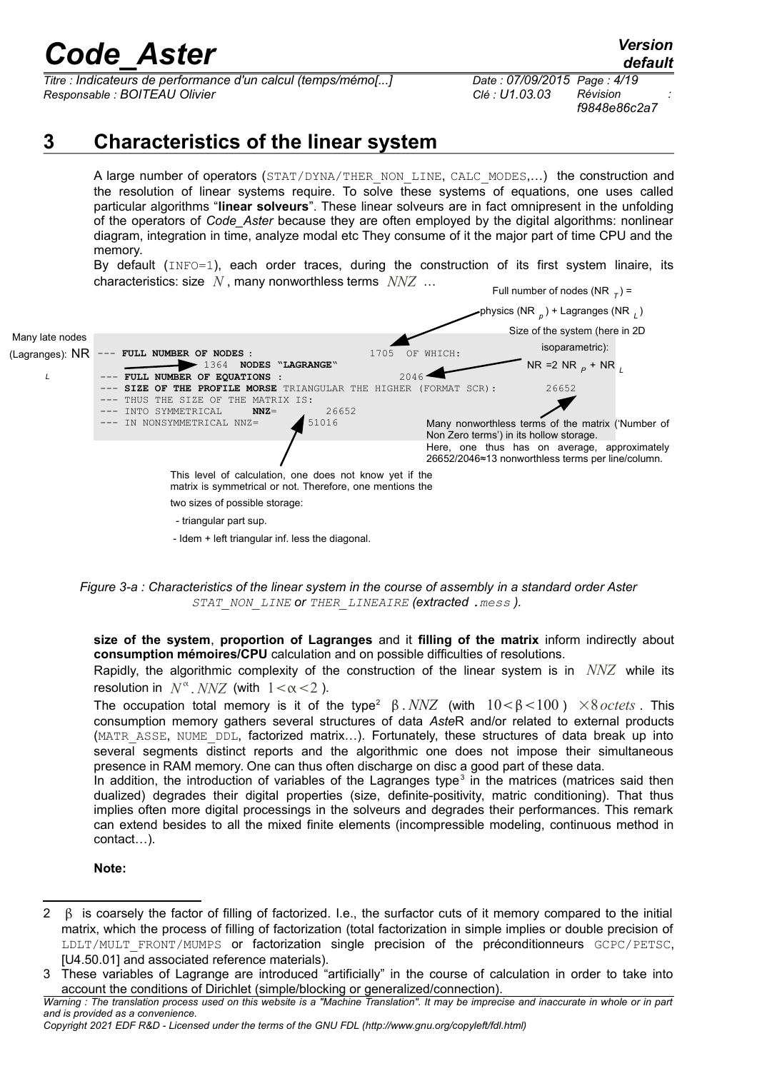*Titre : Indicateurs de performance d'un calcul (temps/mémo[...] Date : 07/09/2015 Page : 4/19 Responsable : BOITEAU Olivier Clé : U1.03.03 Révision :*

*f9848e86c2a7*

## **3 Characteristics of the linear system**

A large number of operators (STAT/DYNA/THER\_NON\_LINE, CALC\_MODES,...) the construction and the resolution of linear systems require. To solve these systems of equations, one uses called particular algorithms "**linear solveurs**". These linear solveurs are in fact omnipresent in the unfolding of the operators of *Code\_Aster* because they are often employed by the digital algorithms: nonlinear diagram, integration in time, analyze modal etc They consume of it the major part of time CPU and the memory.

By default (INFO=1), each order traces, during the construction of its first system linaire, its characteristics: size *N* , many nonworthless terms *NNZ* …



*Figure 3-a : Characteristics of the linear system in the course of assembly in a standard order Aster STAT\_NON\_LINE or THER\_LINEAIRE (extracted .mess ).* 

**size of the system**, **proportion of Lagranges** and it **filling of the matrix** inform indirectly about **consumption mémoires/CPU** calculation and on possible difficulties of resolutions.

Rapidly, the algorithmic complexity of the construction of the linear system is in *NNZ* while its resolution in  $N^{\alpha}$ . *NNZ* (with  $1 < \alpha < 2$ ).

The occupation total memory is it of the type<sup>[2](#page-3-0)</sup>  $\beta$ . *NNZ* (with  $10 < \beta < 100$ )  $\times$ *8 octets*. This consumption memory gathers several structures of data *Aste*R and/or related to external products (MATR\_ASSE, NUME\_DDL, factorized matrix...). Fortunately, these structures of data break up into several segments distinct reports and the algorithmic one does not impose their simultaneous presence in RAM memory. One can thus often discharge on disc a good part of these data.

In addition, the introduction of variables of the Lagranges type<sup>[3](#page-3-1)</sup> in the matrices (matrices said then dualized) degrades their digital properties (size, definite-positivity, matric conditioning). That thus implies often more digital processings in the solveurs and degrades their performances. This remark can extend besides to all the mixed finite elements (incompressible modeling, continuous method in contact…).

**Note:**

<span id="page-3-0"></span><sup>2</sup> B is coarsely the factor of filling of factorized. I.e., the surfactor cuts of it memory compared to the initial matrix, which the process of filling of factorization (total factorization in simple implies or double precision of LDLT/MULT\_FRONT/MUMPS or factorization single precision of the préconditionneurs GCPC/PETSC, [U4.50.01] and associated reference materials).

<span id="page-3-1"></span><sup>3</sup> These variables of Lagrange are introduced "artificially" in the course of calculation in order to take into account the conditions of Dirichlet (simple/blocking or generalized/connection).

*Warning : The translation process used on this website is a "Machine Translation". It may be imprecise and inaccurate in whole or in part and is provided as a convenience.*

*Copyright 2021 EDF R&D - Licensed under the terms of the GNU FDL (http://www.gnu.org/copyleft/fdl.html)*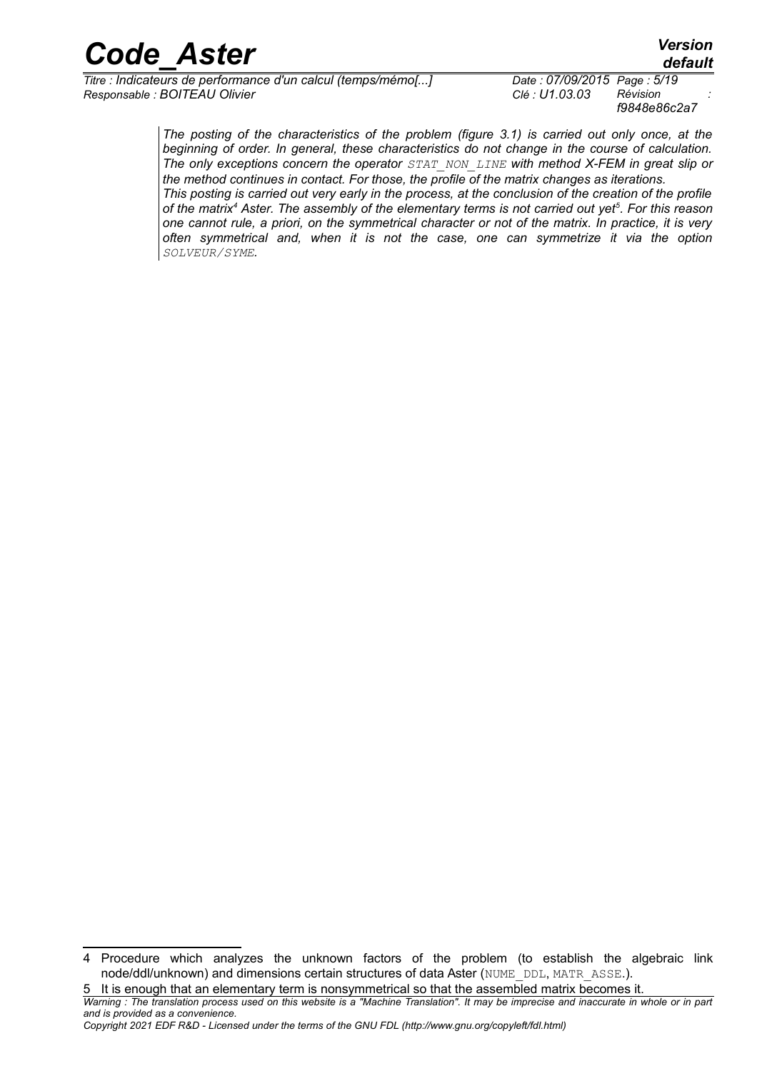*Titre : Indicateurs de performance d'un calcul (temps/mémo[...] Date : 07/09/2015 Page : 5/19 Responsable : BOITEAU Olivier Clé : U1.03.03 Révision :*

*f9848e86c2a7*

*The posting of the characteristics of the problem (figure 3.1) is carried out only once, at the beginning of order. In general, these characteristics do not change in the course of calculation. The only exceptions concern the operator STAT\_NON\_LINE with method X-FEM in great slip or the method continues in contact. For those, the profile of the matrix changes as iterations. This posting is carried out very early in the process, at the conclusion of the creation of the profile of the matrix[4](#page-4-0) Aster. The assembly of the elementary terms is not carried out yet[5](#page-4-1) . For this reason one cannot rule, a priori, on the symmetrical character or not of the matrix. In practice, it is very often symmetrical and, when it is not the case, one can symmetrize it via the option SOLVEUR/SYME.*

<span id="page-4-1"></span>5 It is enough that an elementary term is nonsymmetrical so that the assembled matrix becomes it.

*Copyright 2021 EDF R&D - Licensed under the terms of the GNU FDL (http://www.gnu.org/copyleft/fdl.html)*

<span id="page-4-0"></span><sup>4</sup> Procedure which analyzes the unknown factors of the problem (to establish the algebraic link node/ddl/unknown) and dimensions certain structures of data Aster (NUME\_DDL, MATR\_ASSE.).

*Warning : The translation process used on this website is a "Machine Translation". It may be imprecise and inaccurate in whole or in part and is provided as a convenience.*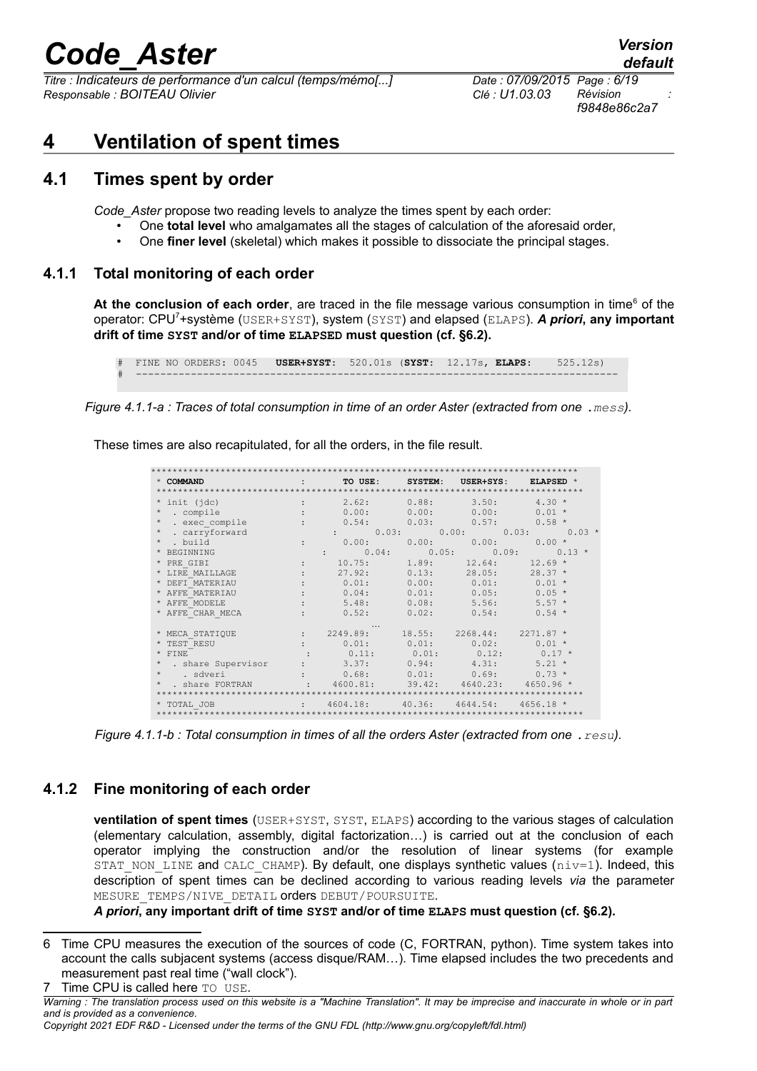## code Aster:

Titre : Indicateurs de performance d'un calcul (temps/mémo[...] Responsable : BOITEAU Olivier

Date: 07/09/2015 Page: 6/19 Clé : U1.03.03 Révision f9848e86c2a7

#### **Ventilation of spent times**  $\boldsymbol{\Delta}$

#### $4.1$ Times spent by order

Code Aster propose two reading levels to analyze the times spent by each order:

- One total level who amalgamates all the stages of calculation of the aforesaid order,
- One finer level (skeletal) which makes it possible to dissociate the principal stages.  $\bullet$

#### $4.1.1$ Total monitoring of each order

At the conclusion of each order, are traced in the file message various consumption in time<sup>6</sup> of the operator: CPU<sup>7+</sup>système (USER+SYST), system (SYST) and elapsed (ELAPS). A priori, any important drift of time SYST and/or of time ELAPSED must question (cf. §6.2).

```
FINE NO ORDERS: 0045 USER+SYST: 520.01s (SYST: 12.17s, ELAPS:
                                                              525.12s
```
Figure 4.1.1-a: Traces of total consumption in time of an order Aster (extracted from one . mess).

These times are also recapitulated, for all the orders, in the file result.

| * COMMAND<br>the control of the control of the |                      |                                                                                                                                 |        |                            | TO USE: SYSTEM: USER+SYS: ELAPSED * |
|------------------------------------------------|----------------------|---------------------------------------------------------------------------------------------------------------------------------|--------|----------------------------|-------------------------------------|
|                                                |                      |                                                                                                                                 |        |                            |                                     |
| * init (idc)                                   |                      | 2.62: 0.88:<br>distance of the                                                                                                  |        |                            | $3.50: 4.30*$                       |
| $^\star$<br>. compile                          |                      | 0.00:                                                                                                                           |        | 0.00: 0.00:                | $0.01 *$                            |
| $\star$<br>. exec compile                      |                      |                                                                                                                                 |        | $0.54: 0.03: 0.57: 0.58*$  |                                     |
| $\star$<br>. carryforward                      |                      |                                                                                                                                 |        |                            | $\vdots$ 0.03: 0.00: 0.03: 0.03 *   |
| . build<br>$\star$                             | $\ddot{\phantom{a}}$ | $0.00$ : $0.00$ : $0.00$ : $0.00$ : $0.00*$                                                                                     |        |                            |                                     |
| * BEGINNING                                    |                      | $\vdots$ 0.04; 0.05; 0.09; 0.13 *                                                                                               |        |                            |                                     |
| * PRE GIBI                                     |                      | 10.75:                                                                                                                          | 1.89:  |                            | $12.64: 12.69*$                     |
| * LIRE MAILLAGE                                |                      | 27.92:                                                                                                                          | 0.13:  |                            | $28.05: 28.37*$                     |
| * DEFT MATERIAU                                |                      | 0.01:                                                                                                                           |        | $0.00: 0.01: 0.01 *$       |                                     |
| * AFFE MATERIAU                                |                      | 0.04:                                                                                                                           | 0.01:  |                            | $0.05$ : $0.05$ *                   |
| * AFFE MODELE                                  |                      | 5.48:                                                                                                                           | 0.08:  | 5.56:                      | $5.57 *$                            |
| * AFFE CHAR MECA                               |                      | 0.52:                                                                                                                           | 0.02:  | 0.54:                      | $0.54$ *                            |
|                                                |                      |                                                                                                                                 |        |                            |                                     |
| * MECA STATIOUE                                |                      | $\begin{array}{ccccccccc}\n & \cdots & & \cdots & & \cdots \\ \vdots & & 2249.89 & & 18.55 & & 2268.44 & & 2271.87 \end{array}$ |        |                            |                                     |
| * TEST RESU                                    |                      |                                                                                                                                 |        | $0.01: 0.01: 0.02: 0.01 *$ |                                     |
| $*$ FINE                                       |                      | $0.11: 0.01: 0.12: 0.17*$                                                                                                       |        |                            |                                     |
| * . share Supervisor                           |                      | $\cdot$ 3.37: 0.94: 4.31: 5.21 *                                                                                                |        |                            |                                     |
| $^{\star}$ . sdveri                            |                      | 0.68:                                                                                                                           |        | $0.01: 0.69: 0.73*$        |                                     |
| . share FORTRAN                                |                      | 4600.81:                                                                                                                        |        | 39.42: 4640.23: 4650.96 *  |                                     |
|                                                |                      |                                                                                                                                 |        |                            |                                     |
| * TOTAL JOB                                    | <b>Service</b> State | 4604.18:                                                                                                                        | 40.36: | 4644.54:                   | $4656.18*$                          |
|                                                |                      |                                                                                                                                 |        |                            |                                     |

Figure 4.1.1-b: Total consumption in times of all the orders Aster (extracted from one . resu).

### 4.1.2 Fine monitoring of each order

**ventilation of spent times** (USER+SYST, SYST, ELAPS) according to the various stages of calculation (elementary calculation, assembly, digital factorization...) is carried out at the conclusion of each operator implying the construction and/or the resolution of linear systems (for example STAT NON LINE and CALC CHAMP). By default, one displays synthetic values ( $niv=1$ ). Indeed, this description of spent times can be declined according to various reading levels via the parameter MESURE TEMPS/NIVE DETAIL orders DEBUT/POURSUITE.

A priori, any important drift of time SYST and/or of time ELAPS must question (cf. §6.2).

<span id="page-5-1"></span><span id="page-5-0"></span><sup>6</sup> Time CPU measures the execution of the sources of code (C, FORTRAN, python). Time system takes into account the calls subjacent systems (access disque/RAM...). Time elapsed includes the two precedents and measurement past real time ("wall clock"). Time CPU is called here TO USE.  $\overline{7}$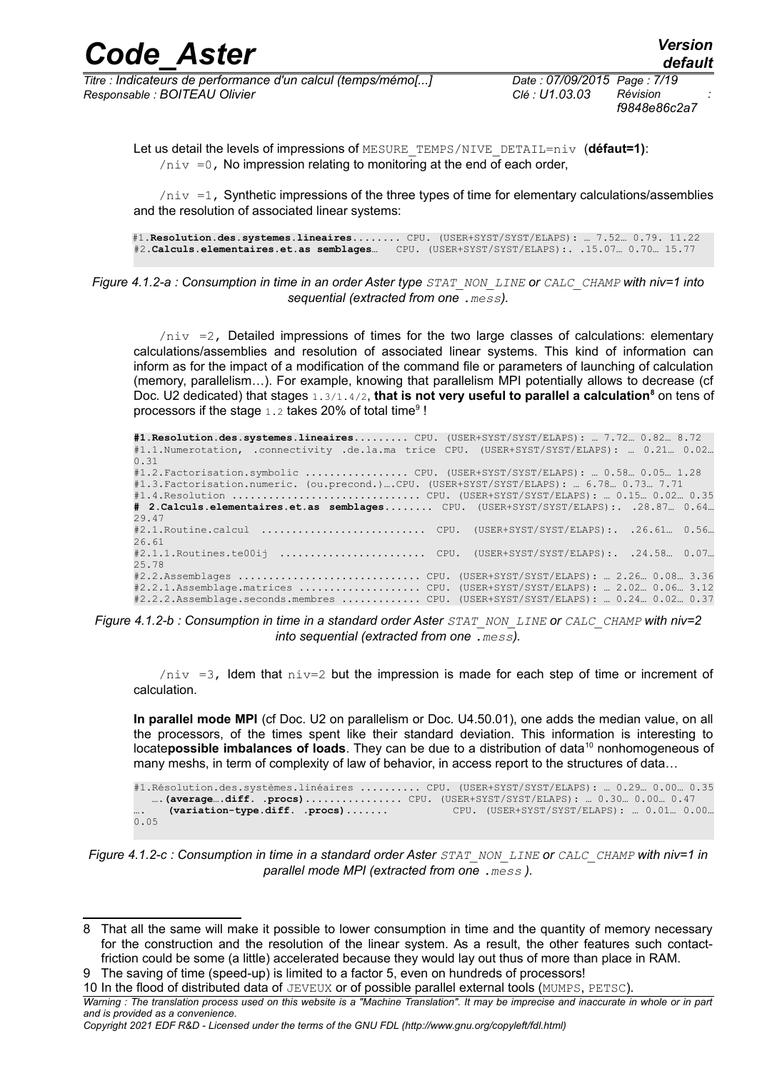| <b>Code Aster</b>                                                                                 |  | <b>Version</b><br>default |
|---------------------------------------------------------------------------------------------------|--|---------------------------|
| the distribution of the complete service of the control distribution of the form of the f<br>$-1$ |  |                           |

*Titre : Indicateurs de performance d'un calcul (temps/mémo[...] Date : 07/09/2015 Page : 7/19 Responsable : BOITEAU Olivier Clé : U1.03.03 Révision :*

*f9848e86c2a7*

Let us detail the levels of impressions of MESURE\_TEMPS/NIVE\_DETAIL=niv (**défaut=1)**:  $\ln v = 0$ . No impression relating to monitoring at the end of each order,

 $\ln v =1$ , Synthetic impressions of the three types of time for elementary calculations/assemblies and the resolution of associated linear systems:

#1.**Resolution.des.systemes.lineaires**........ CPU. (USER+SYST/SYST/ELAPS): … 7.52… 0.79. 11.22 #2.**Calculs.elementaires.et.as semblages**… CPU. (USER+SYST/SYST/ELAPS):. .15.07… 0.70… 15.77

*Figure 4.1.2-a : Consumption in time in an order Aster type STAT\_NON\_LINE or CALC\_CHAMP with niv=1 into sequential (extracted from one .mess).*

 $\pi$ iv =2, Detailed impressions of times for the two large classes of calculations: elementary calculations/assemblies and resolution of associated linear systems. This kind of information can inform as for the impact of a modification of the command file or parameters of launching of calculation (memory, parallelism…). For example, knowing that parallelism MPI potentially allows to decrease (cf Doc. U2 dedicated) that stages 1.3/1.4/2, **that is not very useful to parallel a calculation<sup>[8](#page-6-0)</sup> on tens of** processors if the stage  $1.2$  takes 20% of total time<sup>[9](#page-6-1)</sup>!

**#1.Resolution.des.systemes.lineaires**......... CPU. (USER+SYST/SYST/ELAPS): … 7.72… 0.82… 8.72 #1.1.Numerotation, .connectivity .de.la.ma trice CPU. (USER+SYST/SYST/ELAPS): … 0.21… 0.02… 0.31 #1.2.Factorisation.symbolic ................. CPU. (USER+SYST/SYST/ELAPS): … 0.58… 0.05… 1.28 #1.3.Factorisation.numeric. (ou.precond.)….CPU. (USER+SYST/SYST/ELAPS): … 6.78… 0.73… 7.71 #1.4.Resolution ............................... CPU. (USER+SYST/SYST/ELAPS): … 0.15… 0.02… 0.35 **# 2.Calculs.elementaires.et.as semblages**........ CPU. (USER+SYST/SYST/ELAPS):. .28.87… 0.64… 29.47 #2.1.Routine.calcul ........................... CPU. (USER+SYST/SYST/ELAPS):. .26.61… 0.56… 26.61 #2.1.1.Routines.te00ij ........................ CPU. (USER+SYST/SYST/ELAPS):. .24.58… 0.07… 25.78 #2.2.Assemblages .............................. CPU. (USER+SYST/SYST/ELAPS): … 2.26… 0.08… 3.36 #2.2.1.Assemblage.matrices .................... CPU. (USER+SYST/SYST/ELAPS): … 2.02… 0.06… 3.12 #2.2.2.Assemblage.seconds.membres ............. CPU. (USER+SYST/SYST/ELAPS): … 0.24… 0.02… 0.37

*Figure 4.1.2-b : Consumption in time in a standard order Aster STAT\_NON\_LINE or CALC\_CHAMP with niv=2 into sequential (extracted from one .mess).*

 $\pi$ iv =3, Idem that  $\pi$ iv=2 but the impression is made for each step of time or increment of calculation.

**In parallel mode MPI** (cf Doc. U2 on parallelism or Doc. U4.50.01), one adds the median value, on all the processors, of the times spent like their standard deviation. This information is interesting to locate**possible imbalances of loads**. They can be due to a distribution of data<sup>[10](#page-6-2)</sup> nonhomogeneous of many meshs, in term of complexity of law of behavior, in access report to the structures of data…

```
#1.Résolution.des.systèmes.linéaires .......... CPU. (USER+SYST/SYST/ELAPS): … 0.29… 0.00… 0.35
  ….(average….diff. .procs)................ CPU. (USER+SYST/SYST/ELAPS): … 0.30… 0.00… 0.47
     …. (variation-type.diff. .procs)....... CPU. (USER+SYST/SYST/ELAPS): … 0.01… 0.00…
0.05
```
*Figure 4.1.2-c : Consumption in time in a standard order Aster STAT\_NON\_LINE or CALC\_CHAMP with niv=1 in parallel mode MPI (extracted from one .mess ).*

<span id="page-6-0"></span><sup>8</sup> That all the same will make it possible to lower consumption in time and the quantity of memory necessary for the construction and the resolution of the linear system. As a result, the other features such contactfriction could be some (a little) accelerated because they would lay out thus of more than place in RAM.

<span id="page-6-1"></span><sup>9</sup> The saving of time (speed-up) is limited to a factor 5, even on hundreds of processors!

<span id="page-6-2"></span><sup>10</sup> In the flood of distributed data of JEVEUX or of possible parallel external tools (MUMPS, PETSC).

*Warning : The translation process used on this website is a "Machine Translation". It may be imprecise and inaccurate in whole or in part and is provided as a convenience.*

*Copyright 2021 EDF R&D - Licensed under the terms of the GNU FDL (http://www.gnu.org/copyleft/fdl.html)*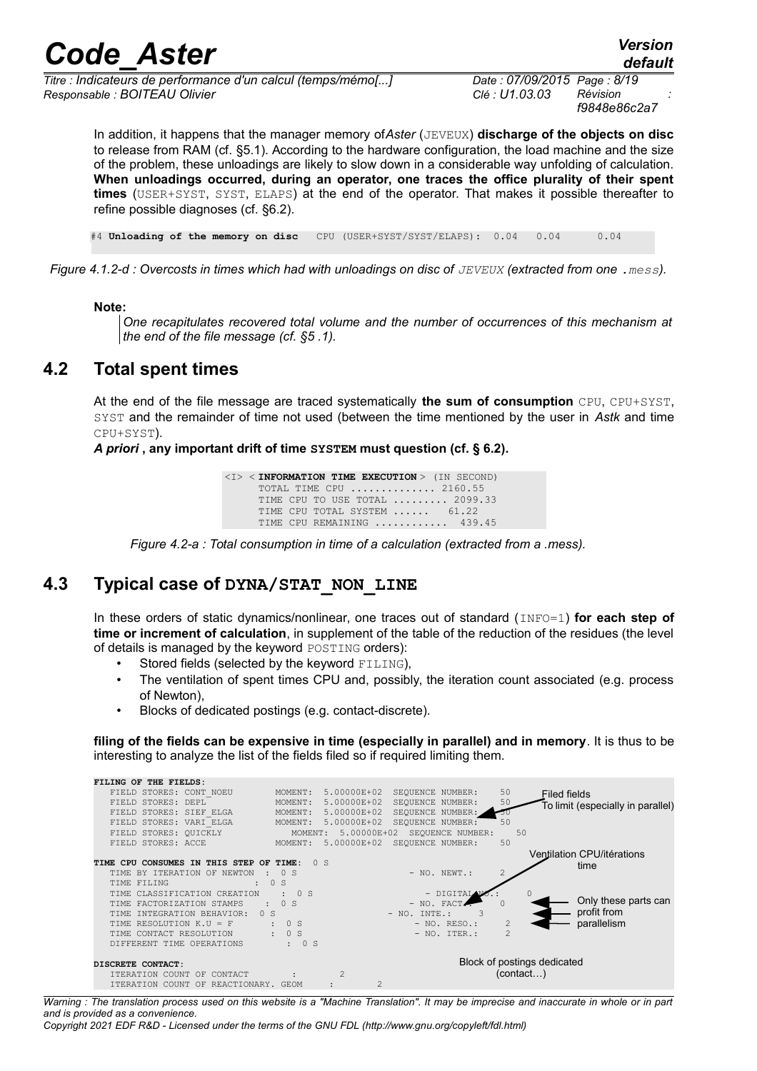*Titre : Indicateurs de performance d'un calcul (temps/mémo[...] Date : 07/09/2015 Page : 8/19 Responsable : BOITEAU Olivier Clé : U1.03.03 Révision :*

*f9848e86c2a7*

*default*

In addition, it happens that the manager memory of*Aster* (JEVEUX) **discharge of the objects on disc** to release from RAM (cf. §5.1). According to the hardware configuration, the load machine and the size of the problem, these unloadings are likely to slow down in a considerable way unfolding of calculation. **When unloadings occurred, during an operator, one traces the office plurality of their spent times** (USER+SYST, SYST, ELAPS) at the end of the operator. That makes it possible thereafter to refine possible diagnoses (cf. §6.2).

#4 **Unloading of the memory on disc** CPU (USER+SYST/SYST/ELAPS): 0.04 0.04 0.04

*Figure 4.1.2-d : Overcosts in times which had with unloadings on disc of JEVEUX (extracted from one .mess).* 

#### **Note:**

*One recapitulates recovered total volume and the number of occurrences of this mechanism at the end of the file message (cf. §5 .1).* 

### **4.2 Total spent times**

At the end of the file message are traced systematically **the sum of consumption** CPU, CPU+SYST, SYST and the remainder of time not used (between the time mentioned by the user in *Astk* and time CPU+SYST).

*A priori* **, any important drift of time SYSTEM must question (cf. § 6.2).**

<I> < **INFORMATION TIME EXECUTION** > (IN SECOND) TOTAL TIME CPU .............. 2160.55 TIME CPU TO USE TOTAL ......... 2099.33 TIME CPU TOTAL SYSTEM ...... 61.22 TIME CPU REMAINING ........... 439.45

### **4.3 Typical case of DYNA/STAT\_NON\_LINE**

In these orders of static dynamics/nonlinear, one traces out of standard (INFO=1) **for each step of time or increment of calculation**, in supplement of the table of the reduction of the residues (the level of details is managed by the keyword POSTING orders):

- Stored fields (selected by the keyword FILING),
- The ventilation of spent times CPU and, possibly, the iteration count associated (e.g. process of Newton),
- Blocks of dedicated postings (e.g. contact-discrete).

**filing of the fields can be expensive in time (especially in parallel) and in memory**. It is thus to be interesting to analyze the list of the fields filed so if required limiting them.



*Warning : The translation process used on this website is a "Machine Translation". It may be imprecise and inaccurate in whole or in part and is provided as a convenience.*

*Copyright 2021 EDF R&D - Licensed under the terms of the GNU FDL (http://www.gnu.org/copyleft/fdl.html)*

*Figure 4.2-a : Total consumption in time of a calculation (extracted from a .mess).*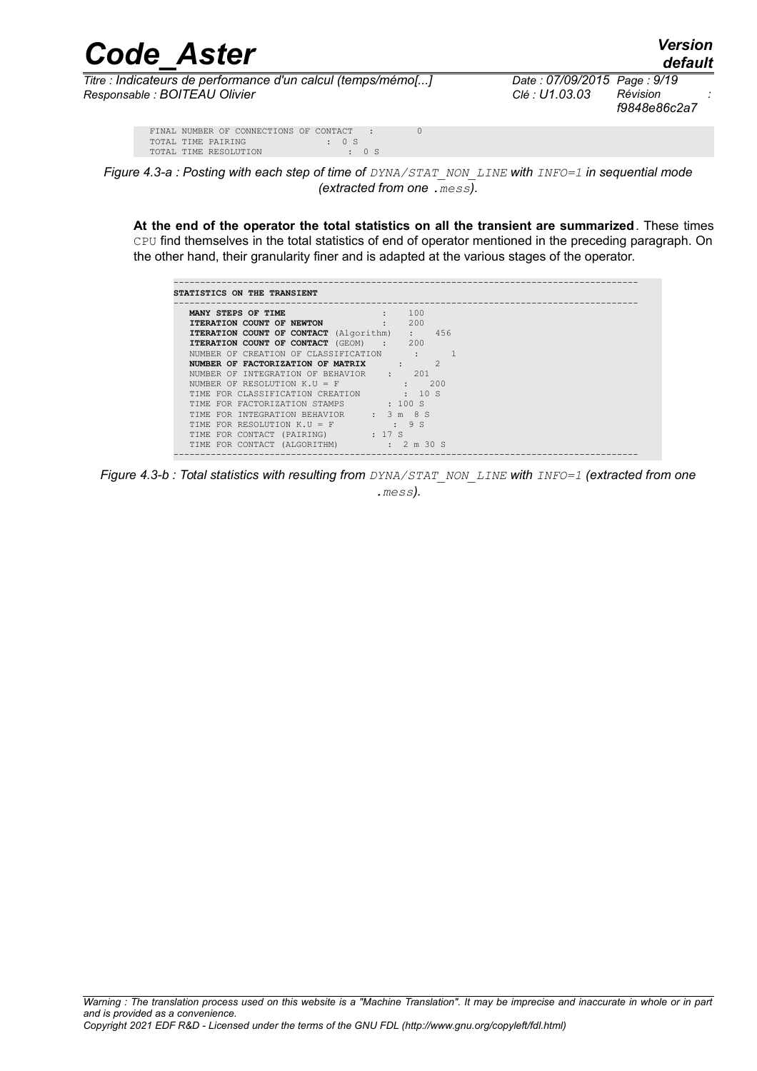| <b>Code Aster</b>                                            |                             | <b>Version</b><br>default |  |
|--------------------------------------------------------------|-----------------------------|---------------------------|--|
| Titre : Indicateurs de performance d'un calcul (temps/mémo[] | Date: 07/09/2015 Page: 9/19 |                           |  |
| Responsable : BOITEAU Olivier                                | Clé : U1.03.03              | Révision                  |  |

*default*

*Titre : Indicateurs de performance d'un calcul (temps/mémo[...] Date : 07/09/2015 Page : 9/19 f9848e86c2a7*

|                       |  | FINAL NUMBER OF CONNECTIONS OF CONTACT : |             |  |             |  |  |
|-----------------------|--|------------------------------------------|-------------|--|-------------|--|--|
| TOTAL TIME PAIRING    |  |                                          | $\cdot$ 0 S |  |             |  |  |
| TOTAL TIME RESOLUTION |  |                                          |             |  | $\cdot$ 0 S |  |  |
|                       |  |                                          |             |  |             |  |  |



**At the end of the operator the total statistics on all the transient are summarized**. These times CPU find themselves in the total statistics of end of operator mentioned in the preceding paragraph. On the other hand, their granularity finer and is adapted at the various stages of the operator.

| <b>ITERATION COUNT OF NEWTON : 200</b><br><b>ITERATION COUNT OF CONTACT</b> (Algorithm) : 456<br>: 200<br>$\cdot$ 9 S                                                                                                                                                                                                                                                                                      | MANY STEPS OF TIME : 100                |  |  |
|------------------------------------------------------------------------------------------------------------------------------------------------------------------------------------------------------------------------------------------------------------------------------------------------------------------------------------------------------------------------------------------------------------|-----------------------------------------|--|--|
| ITERATION COUNT OF CONTACT (GEOM) : 200<br>NUMBER OF CREATION OF CLASSIFICATION :<br>NUMBER OF FACTORIZATION OF MATRIX : 2<br>NUMBER OF INTEGRATION OF BEHAVIOR : 201<br>NUMBER OF RESOLUTION $K.U = F$<br>TIME FOR CLASSIFICATION CREATION : 10 S<br>TIME FOR FACTORIZATION STAMPS : 100 S<br>TIME FOR INTEGRATION BEHAVIOR : 3 m 8 S<br>TIME FOR RESOLUTION K.U = F<br>TIME FOR CONTACT (PAIRING) : 17 S |                                         |  |  |
|                                                                                                                                                                                                                                                                                                                                                                                                            |                                         |  |  |
|                                                                                                                                                                                                                                                                                                                                                                                                            |                                         |  |  |
|                                                                                                                                                                                                                                                                                                                                                                                                            |                                         |  |  |
|                                                                                                                                                                                                                                                                                                                                                                                                            |                                         |  |  |
|                                                                                                                                                                                                                                                                                                                                                                                                            |                                         |  |  |
|                                                                                                                                                                                                                                                                                                                                                                                                            |                                         |  |  |
|                                                                                                                                                                                                                                                                                                                                                                                                            |                                         |  |  |
|                                                                                                                                                                                                                                                                                                                                                                                                            |                                         |  |  |
|                                                                                                                                                                                                                                                                                                                                                                                                            |                                         |  |  |
|                                                                                                                                                                                                                                                                                                                                                                                                            |                                         |  |  |
|                                                                                                                                                                                                                                                                                                                                                                                                            | TIME FOR CONTACT (ALGORITHM) : 2 m 30 S |  |  |

*Figure 4.3-b : Total statistics with resulting from DYNA/STAT\_NON\_LINE with INFO=1 (extracted from one .mess).*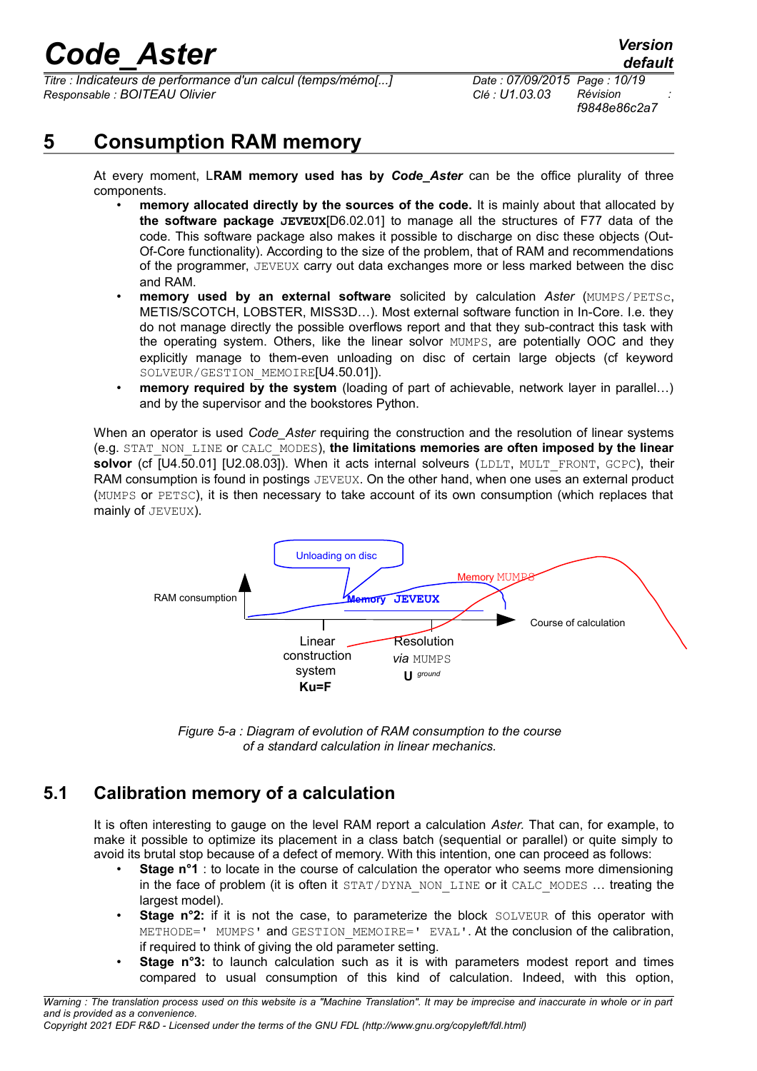*Titre : Indicateurs de performance d'un calcul (temps/mémo[...] Date : 07/09/2015 Page : 10/19 Responsable : BOITEAU Olivier Clé : U1.03.03 Révision :*

*f9848e86c2a7*

## **5 Consumption RAM memory**

At every moment, L**RAM memory used has by** *Code\_Aster* can be the office plurality of three components.

- **memory allocated directly by the sources of the code.** It is mainly about that allocated by **the software package JEVEUX**[D6.02.01] to manage all the structures of F77 data of the code. This software package also makes it possible to discharge on disc these objects (Out-Of-Core functionality). According to the size of the problem, that of RAM and recommendations of the programmer, JEVEUX carry out data exchanges more or less marked between the disc and RAM.
- **memory used by an external software** solicited by calculation *Aster* (MUMPS/PETSc, METIS/SCOTCH, LOBSTER, MISS3D…). Most external software function in In-Core. I.e. they do not manage directly the possible overflows report and that they sub-contract this task with the operating system. Others, like the linear solvor MUMPS, are potentially OOC and they explicitly manage to them-even unloading on disc of certain large objects (cf keyword SOLVEUR/GESTION MEMOIRE<sup>[U4.50.01]</sup>).
- **memory required by the system** (loading of part of achievable, network layer in parallel...) and by the supervisor and the bookstores Python.

When an operator is used *Code* Aster requiring the construction and the resolution of linear systems (e.g. STAT\_NON\_LINE or CALC\_MODES), **the limitations memories are often imposed by the linear** solvor (cf [U4.50.01] [U2.08.03]). When it acts internal solveurs (LDLT, MULT\_FRONT, GCPC), their RAM consumption is found in postings JEVEUX. On the other hand, when one uses an external product (MUMPS or PETSC), it is then necessary to take account of its own consumption (which replaces that mainly of JEVEUX).





## **5.1 Calibration memory of a calculation**

It is often interesting to gauge on the level RAM report a calculation *Aster.* That can, for example, to make it possible to optimize its placement in a class batch (sequential or parallel) or quite simply to avoid its brutal stop because of a defect of memory. With this intention, one can proceed as follows:

- **Stage n°1** : to locate in the course of calculation the operator who seems more dimensioning in the face of problem (it is often it STAT/DYNA\_NON\_LINE or it CALC\_MODES ... treating the largest model).
- **Stage n°2:** if it is not the case, to parameterize the block SOLVEUR of this operator with METHODE=' MUMPS' and GESTION MEMOIRE=' EVAL'. At the conclusion of the calibration, if required to think of giving the old parameter setting.
- **Stage n°3:** to launch calculation such as it is with parameters modest report and times compared to usual consumption of this kind of calculation. Indeed, with this option,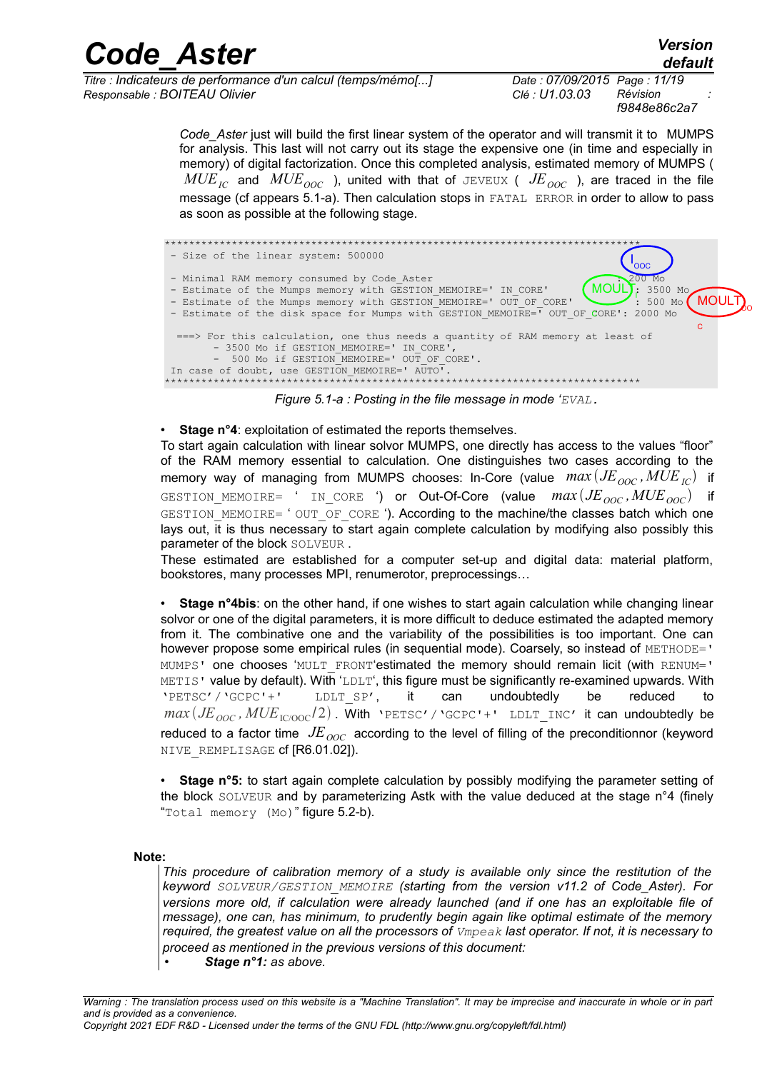| <b>Code Aster</b>                                            |                              | <b>Version</b><br>default |  |
|--------------------------------------------------------------|------------------------------|---------------------------|--|
| Titre : Indicateurs de performance d'un calcul (temps/mémo[] | Date: 07/09/2015 Page: 11/19 |                           |  |
| Responsable : BOITEAU Olivier                                | Clé : U1.03.03               | Révision<br>f98480860227  |  |

Code Aster just will build the first linear system of the operator and will transmit it to MUMPS for analysis. This last will not carry out its stage the expensive one (in time and especially in memory) of digital factorization. Once this completed analysis, estimated memory of MUMPS (  $MUE_{IC}$  and  $MUE_{OOC}$  ), united with that of JEVEUX (  $JE_{OOC}$  ), are traced in the file message (cf appears 5.1-a). Then calculation stops in FATAL ERROR in order to allow to pass as soon as possible at the following stage.



Figure 5.1-a : Posting in the file message in mode 'EVAL.

#### • Stage n°4: exploitation of estimated the reports themselves.

To start again calculation with linear solvor MUMPS, one directly has access to the values "floor" of the RAM memory essential to calculation. One distinguishes two cases according to the memory way of managing from MUMPS chooses: In-Core (value  $max(JE_{\text{OOC}},MUE_{\text{IC}})$  if GESTION MEMOIRE= ' IN CORE ') or Out-Of-Core (value  $max(JE_{\text{occ}},MUE_{\text{occ}})$  if GESTION MEMOIRE= ' OUT OF CORE '). According to the machine/the classes batch which one lays out, it is thus necessary to start again complete calculation by modifying also possibly this parameter of the block SOLVEUR.

These estimated are established for a computer set-up and digital data: material platform, bookstores, many processes MPI, renumerotor, preprocessings...

Stage n°4bis: on the other hand, if one wishes to start again calculation while changing linear solvor or one of the digital parameters, it is more difficult to deduce estimated the adapted memory from it. The combinative one and the variability of the possibilities is too important. One can however propose some empirical rules (in sequential mode). Coarsely, so instead of METHODE=' MUMPS' one chooses 'MULT FRONT'estimated the memory should remain licit (with RENUM=' METIS' value by default). With 'LDLT', this figure must be significantly re-examined upwards. With 'PETSC' / 'GCPC' +' LDLT SP', it undoubtedly be reduced to can  $max(JE_{\text{OOC}}, MUE_{\text{ICOOC}}/2)$ . With 'PETSC'/'GCPC'+' LDLT INC' it can undoubtedly be reduced to a factor time  $JE_{OOC}$  according to the level of filling of the preconditionnor (keyword NIVE REMPLISAGE cf [R6.01.02]).

Stage n°5: to start again complete calculation by possibly modifying the parameter setting of the block SOLVEUR and by parameterizing Astk with the value deduced at the stage n°4 (finely "Total memory (Mo)" figure 5.2-b).

#### Note:

This procedure of calibration memory of a study is available only since the restitution of the keyword SOLVEUR/GESTION MEMOIRE (starting from the version v11.2 of Code Aster). For versions more old, if calculation were already launched (and if one has an exploitable file of message), one can, has minimum, to prudently begin again like optimal estimate of the memory required, the greatest value on all the processors of  $V_{\text{mpeak}}$  last operator. If not, it is necessary to proceed as mentioned in the previous versions of this document:

Stage n°1: as above.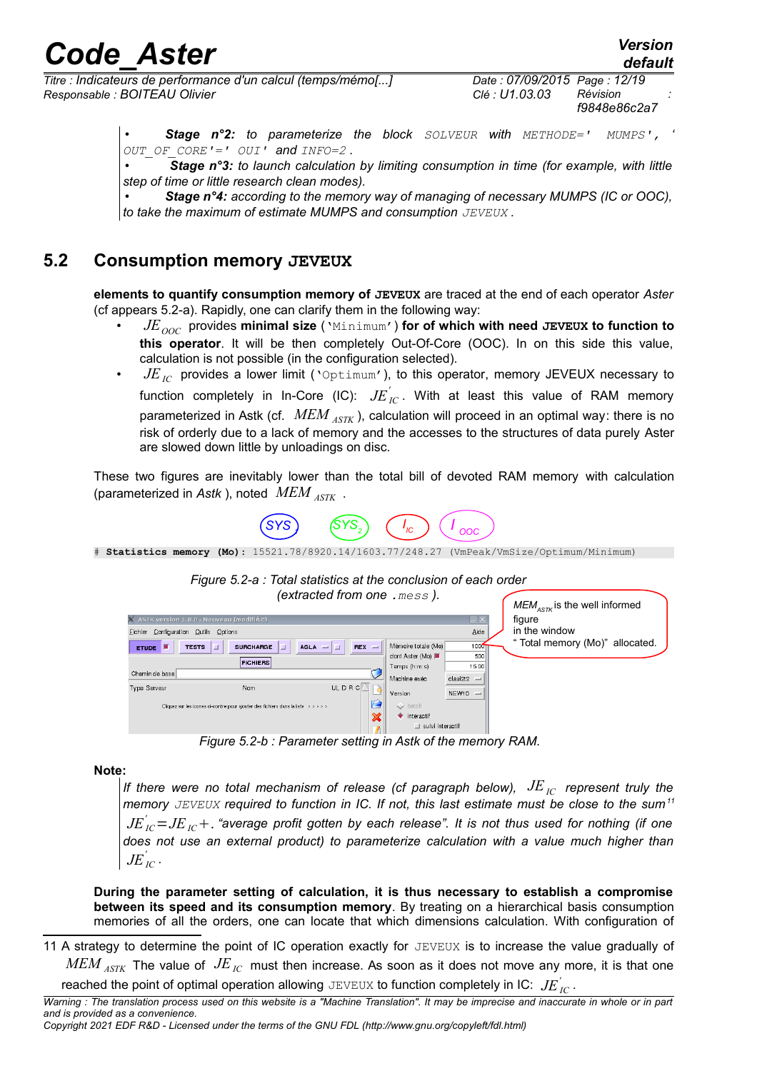*Titre : Indicateurs de performance d'un calcul (temps/mémo[...] Date : 07/09/2015 Page : 12/19 Responsable : BOITEAU Olivier Clé : U1.03.03 Révision :*

• *Stage n°2: to parameterize the block SOLVEUR with METHODE=' MUMPS', ' OUT\_OF\_CORE'=' OUI' and INFO=2 .*

• *Stage n°3: to launch calculation by limiting consumption in time (for example, with little step of time or little research clean modes).*

• *Stage n°4: according to the memory way of managing of necessary MUMPS (IC or OOC), to take the maximum of estimate MUMPS and consumption JEVEUX .*

### **5.2 Consumption memory JEVEUX**

**elements to quantify consumption memory of JEVEUX** are traced at the end of each operator *Aster* (cf appears 5.2-a). Rapidly, one can clarify them in the following way:

- *JEOOC* provides **minimal size** ('Minimum') **for of which with need JEVEUX to function to this operator**. It will be then completely Out-Of-Core (OOC). In on this side this value, calculation is not possible (in the configuration selected).
- $JE_{IC}$  provides a lower limit ('Optimum'), to this operator, memory JEVEUX necessary to function completely in In-Core (IC):  $J\!E_{\,IC}^{'}$  . With at least this value of RAM memory parameterized in Astk (cf. *MEM ASTK* ), calculation will proceed in an optimal way: there is no risk of orderly due to a lack of memory and the accesses to the structures of data purely Aster are slowed down little by unloadings on disc.

These two figures are inevitably lower than the total bill of devoted RAM memory with calculation (parameterized in *Astk* ), noted *MEM ASTK* .



<sup>#</sup> **Statistics memory (Mo)**: 15521.78/8920.14/1603.77/248.27 (VmPeak/VmSize/Optimum/Minimum)



*Figure 5.2-b : Parameter setting in Astk of the memory RAM.*

### **Note:**

*If there were no total mechanism of release (cf paragraph below),*  $JE<sub>IC</sub>$  *represent truly the memory JEVEUX required to function in IC. If not, this last estimate must be close to the sum[11](#page-11-0)*  $J\!E}_{IC}^{'}$   $=$   $J\!E_{IC}$   $+$  . "average profit gotten by each release". It is not thus used for nothing (if one *does not use an external product) to parameterize calculation with a value much higher than*  $J{E}^{'}_{IC}$  .

**During the parameter setting of calculation, it is thus necessary to establish a compromise between its speed and its consumption memory**. By treating on a hierarchical basis consumption memories of all the orders, one can locate that which dimensions calculation. With configuration of

<span id="page-11-0"></span>11 A strategy to determine the point of IC operation exactly for JEVEUX is to increase the value gradually of *MEM ASTK* The value of *JEIC* must then increase. As soon as it does not move any more, it is that one

reached the point of optimal operation allowing  $\text{JEVEUX}$  to function completely in IC:  $\text{J\!E}^{'}_{IC}$  .

*Warning : The translation process used on this website is a "Machine Translation". It may be imprecise and inaccurate in whole or in part and is provided as a convenience.*

*Copyright 2021 EDF R&D - Licensed under the terms of the GNU FDL (http://www.gnu.org/copyleft/fdl.html)*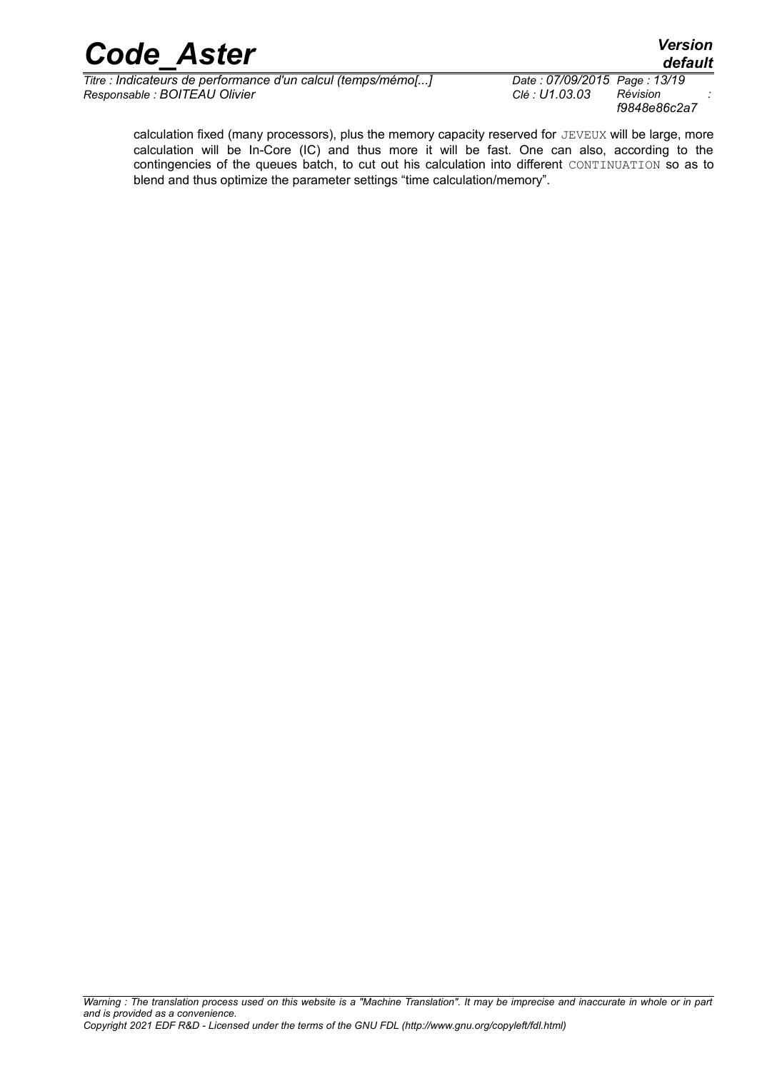*Titre : Indicateurs de performance d'un calcul (temps/mémo[...] Date : 07/09/2015 Page : 13/19*  $Responsible : BOITEAU$  Olivier

*f9848e86c2a7*

calculation fixed (many processors), plus the memory capacity reserved for JEVEUX will be large, more calculation will be In-Core (IC) and thus more it will be fast. One can also, according to the contingencies of the queues batch, to cut out his calculation into different CONTINUATION so as to blend and thus optimize the parameter settings "time calculation/memory".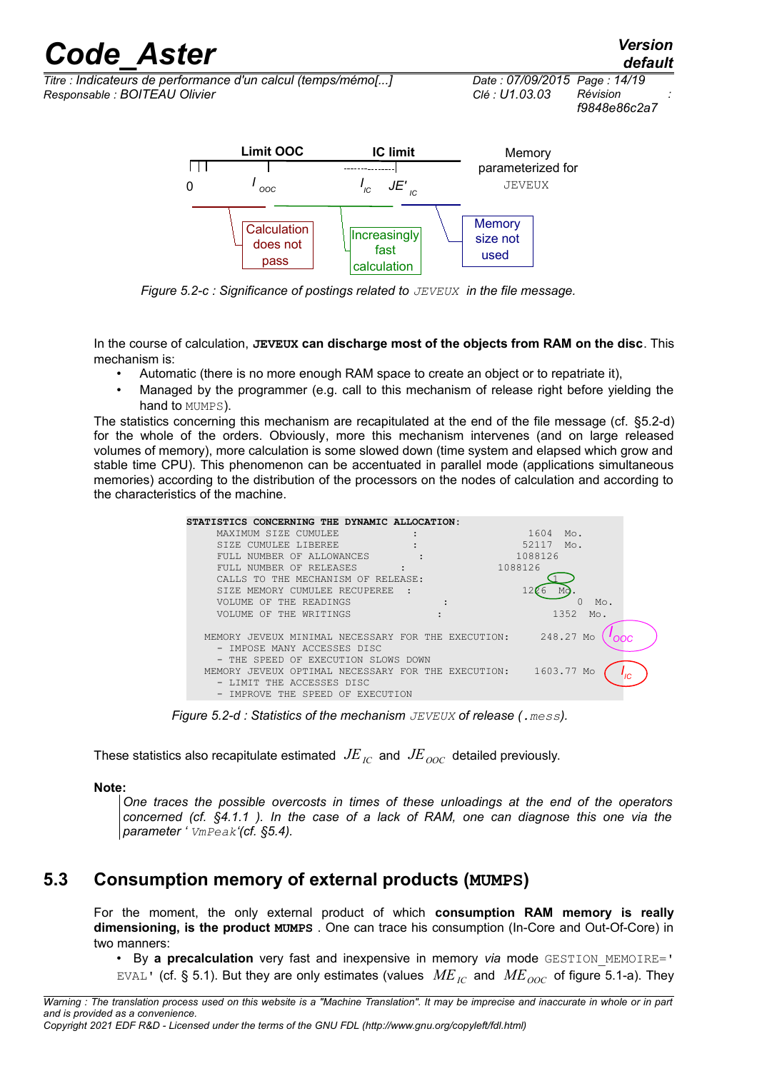*Titre : Indicateurs de performance d'un calcul (temps/mémo[...] Date : 07/09/2015 Page : 14/19 Responsable : BOITEAU Olivier Clé : U1.03.03 Révision :*

*f9848e86c2a7*



*Figure 5.2-c : Significance of postings related to JEVEUX in the file message.*

In the course of calculation, **JEVEUX can discharge most of the objects from RAM on the disc**. This mechanism is:

- Automatic (there is no more enough RAM space to create an object or to repatriate it),
- Managed by the programmer (e.g. call to this mechanism of release right before vielding the hand to MUMPS).

The statistics concerning this mechanism are recapitulated at the end of the file message (cf. §5.2-d) for the whole of the orders. Obviously, more this mechanism intervenes (and on large released volumes of memory), more calculation is some slowed down (time system and elapsed which grow and stable time CPU). This phenomenon can be accentuated in parallel mode (applications simultaneous memories) according to the distribution of the processors on the nodes of calculation and according to the characteristics of the machine.

| STATISTICS CONCERNING THE DYNAMIC ALLOCATION:<br>1604<br>MAXIMUM SIZE CUMULEE<br>Mo.<br>52117<br>Mo.<br>CUMULEE LIBEREE<br>STZE.<br>1088126<br>FULL NUMBER OF ALLOWANCES<br>1088126<br>FULL NUMBER OF RELEASES<br>CALLS TO THE MECHANISM OF RELEASE:<br>SIZE MEMORY CUMULEE RECUPEREE<br>Mc<br>OF THE READINGS<br>VOLUME.<br>Mo. |
|----------------------------------------------------------------------------------------------------------------------------------------------------------------------------------------------------------------------------------------------------------------------------------------------------------------------------------|
|                                                                                                                                                                                                                                                                                                                                  |
|                                                                                                                                                                                                                                                                                                                                  |
|                                                                                                                                                                                                                                                                                                                                  |
|                                                                                                                                                                                                                                                                                                                                  |
|                                                                                                                                                                                                                                                                                                                                  |
|                                                                                                                                                                                                                                                                                                                                  |
|                                                                                                                                                                                                                                                                                                                                  |
|                                                                                                                                                                                                                                                                                                                                  |
| 1352<br>VOLUME OF THE WRITINGS<br>Mo.                                                                                                                                                                                                                                                                                            |
|                                                                                                                                                                                                                                                                                                                                  |
| 248.27<br>JEVEUX MINIMAL NECESSARY FOR THE EXECUTION:<br>Mo<br>MEMORY.                                                                                                                                                                                                                                                           |
| - IMPOSE MANY ACCESSES DISC                                                                                                                                                                                                                                                                                                      |
| THE SPEED OF EXECUTION SLOWS DOWN                                                                                                                                                                                                                                                                                                |
| 1603.77<br>JEVEUX OPTIMAL NECESSARY FOR THE EXECUTION:<br>Mo<br>MEMORY.                                                                                                                                                                                                                                                          |
| LIMIT THE ACCESSES DISC                                                                                                                                                                                                                                                                                                          |
| IMPROVE THE SPEED OF EXECUTION                                                                                                                                                                                                                                                                                                   |

*Figure 5.2-d : Statistics of the mechanism JEVEUX of release (.mess).*

These statistics also recapitulate estimated  $JE_{IC}$  and  $JE_{OOC}$  detailed previously.

### **Note:**

*One traces the possible overcosts in times of these unloadings at the end of the operators concerned (cf. §4.1.1 ). In the case of a lack of RAM, one can diagnose this one via the parameter ' VmPeak'(cf. §5.4).*

### **5.3 Consumption memory of external products (MUMPS)**

For the moment, the only external product of which **consumption RAM memory is really dimensioning, is the product MUMPS** . One can trace his consumption (In-Core and Out-Of-Core) in two manners:

• By a precalculation very fast and inexpensive in memory *via* mode GESTION MEMOIRE=' EVAL' (cf. § 5.1). But they are only estimates (values  $ME_{IC}$  and  $ME_{OOC}$  of figure 5.1-a). They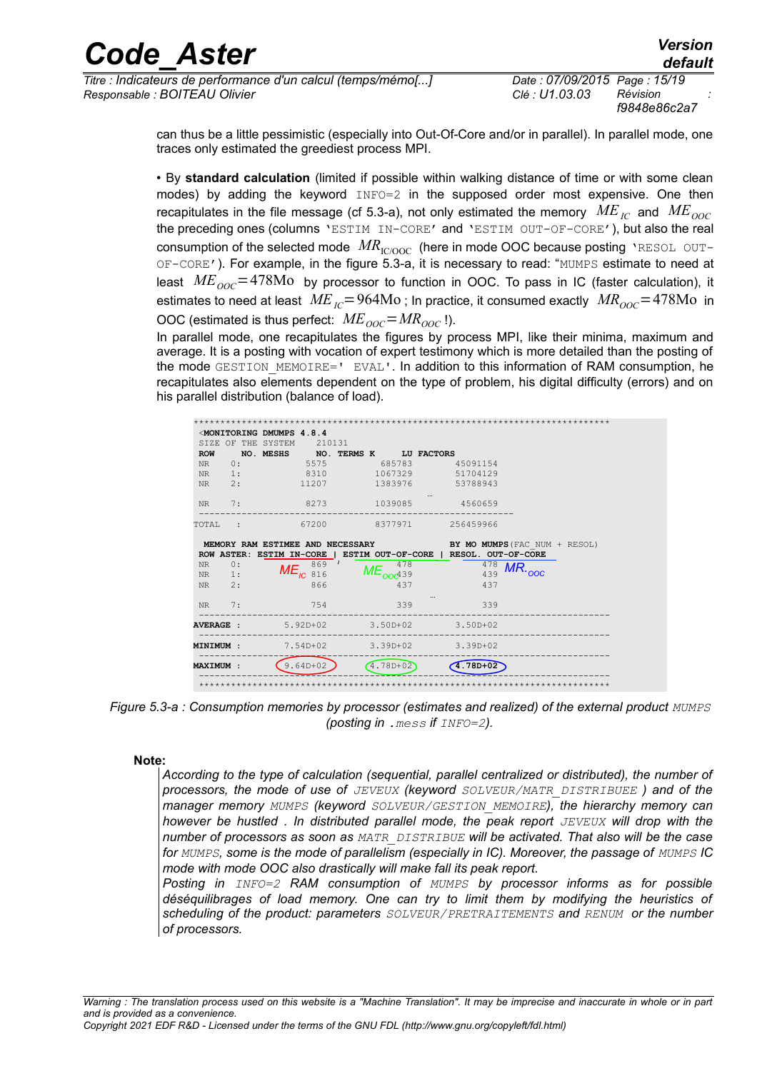## ode Aster

Titre : Indicateurs de performance d'un calcul (temps/mémo[...] Responsable : BOITEAU Olivier

Date: 07/09/2015 Page: 15/19 Clé : U1.03.03 Révision f9848e86c2a7

Version

default

can thus be a little pessimistic (especially into Out-Of-Core and/or in parallel). In parallel mode, one traces only estimated the greediest process MPI.

. By standard calculation (limited if possible within walking distance of time or with some clean modes) by adding the keyword  $INFO=2$  in the supposed order most expensive. One then recapitulates in the file message (cf 5.3-a), not only estimated the memory  $ME_{IC}$  and  $ME_{OOC}$ the preceding ones (columns 'ESTIM IN-CORE' and 'ESTIM OUT-OF-CORE'), but also the real consumption of the selected mode  $MR_{\text{IC/OOC}}$  (here in mode OOC because posting 'RESOL OUT-OF-CORE'). For example, in the figure 5.3-a, it is necessary to read: "MUMPS estimate to need at least  $ME_{\text{corr}} = 478 \text{Mo}$  by processor to function in OOC. To pass in IC (faster calculation), it estimates to need at least  $ME_{\text{IC}} = 964 \text{Mo}$ ; In practice, it consumed exactly  $MR_{\text{OOC}} = 478 \text{Mo}$  in OOC (estimated is thus perfect:  $ME_{OOC} = MR_{OOC}$ !).

In parallel mode, one recapitulates the figures by process MPI, like their minima, maximum and average. It is a posting with vocation of expert testimony which is more detailed than the posting of the mode GESTION MEMOIRE=' EVAL'. In addition to this information of RAM consumption, he recapitulates also elements dependent on the type of problem, his digital difficulty (errors) and on his parallel distribution (balance of load).

|                  |    | <monitoring 4.8.4<="" dmumps="" th=""><th></th><th></th><th></th><th></th></monitoring> |            |                     |                                                                   |                                      |
|------------------|----|-----------------------------------------------------------------------------------------|------------|---------------------|-------------------------------------------------------------------|--------------------------------------|
| SIZE OF          |    | THE SYSTEM                                                                              | 210131     |                     |                                                                   |                                      |
| <b>ROW</b>       |    | NO. MESHS                                                                               |            |                     | NO. TERMS K LU FACTORS                                            |                                      |
| <b>NR</b>        | 0: |                                                                                         | 5575       | 685783              | 45091154                                                          |                                      |
| <b>NR</b>        | 1: |                                                                                         | 8310       | 1067329             | 51704129                                                          |                                      |
| <b>NR</b>        | 2: |                                                                                         | 11207      | 1383976             | 53788943                                                          |                                      |
|                  |    |                                                                                         |            |                     |                                                                   |                                      |
| <b>NR</b>        | 7: |                                                                                         | 8273       | 1039085             | 4560659                                                           |                                      |
| TOTAL            |    |                                                                                         | 67200      | 8377971             | 256459966                                                         |                                      |
|                  |    |                                                                                         |            |                     |                                                                   |                                      |
|                  |    | MEMORY RAM ESTIMEE AND NECESSARY                                                        |            |                     |                                                                   | <b>BY MO MUMPS</b> (FAC NUM + RESOL) |
|                  |    |                                                                                         |            |                     | ROW ASTER: ESTIM IN-CORE   ESTIM OUT-OF-CORE   RESOL. OUT-OF-CORE |                                      |
|                  |    |                                                                                         |            |                     |                                                                   |                                      |
| <b>NR</b>        | 0: |                                                                                         | 869        | 478                 |                                                                   | 478                                  |
| <b>NR</b>        | 1: | $ME_{IC}$                                                                               | 816        | ME <sub>ood39</sub> |                                                                   | $MR_{.00C}$<br>439                   |
| <b>NR</b>        | 2: |                                                                                         | 866        | 437                 |                                                                   | 437                                  |
| NR.              | 7: |                                                                                         | 754        | 339                 |                                                                   | 339                                  |
|                  |    |                                                                                         |            |                     |                                                                   |                                      |
| <b>AVERAGE :</b> |    |                                                                                         | $5.92D+02$ | $3.50D + 02$        | $3.50D+02$                                                        |                                      |
| MINIMUM:         |    |                                                                                         | 7.54D+02   | $3.39D + 02$        | $3.39D+02$                                                        |                                      |
| <b>MAXIMUM:</b>  |    |                                                                                         | $9.64D+02$ | $4.78D + 02$        | $4.78D + 02$                                                      |                                      |

Figure 5.3-a : Consumption memories by processor (estimates and realized) of the external product MUMPS (posting in . mess if  $INFO=2$ ).

#### Note:

According to the type of calculation (sequential, parallel centralized or distributed), the number of processors, the mode of use of JEVEUX (keyword SOLVEUR/MATR DISTRIBUEE) and of the manager memory MUMPS (keyword SOLVEUR/GESTION MEMOIRE), the hierarchy memory can however be hustled . In distributed parallel mode, the peak report JEVEUX will drop with the number of processors as soon as MATR DISTRIBUE will be activated. That also will be the case for MUMPS, some is the mode of parallelism (especially in IC). Moreover, the passage of MUMPS IC mode with mode OOC also drastically will make fall its peak report.

Posting in INFO=2 RAM consumption of MUMPS by processor informs as for possible déséquilibrages of load memory. One can try to limit them by modifying the heuristics of scheduling of the product: parameters SOLVEUR/PRETRAITEMENTS and RENUM or the number of processors.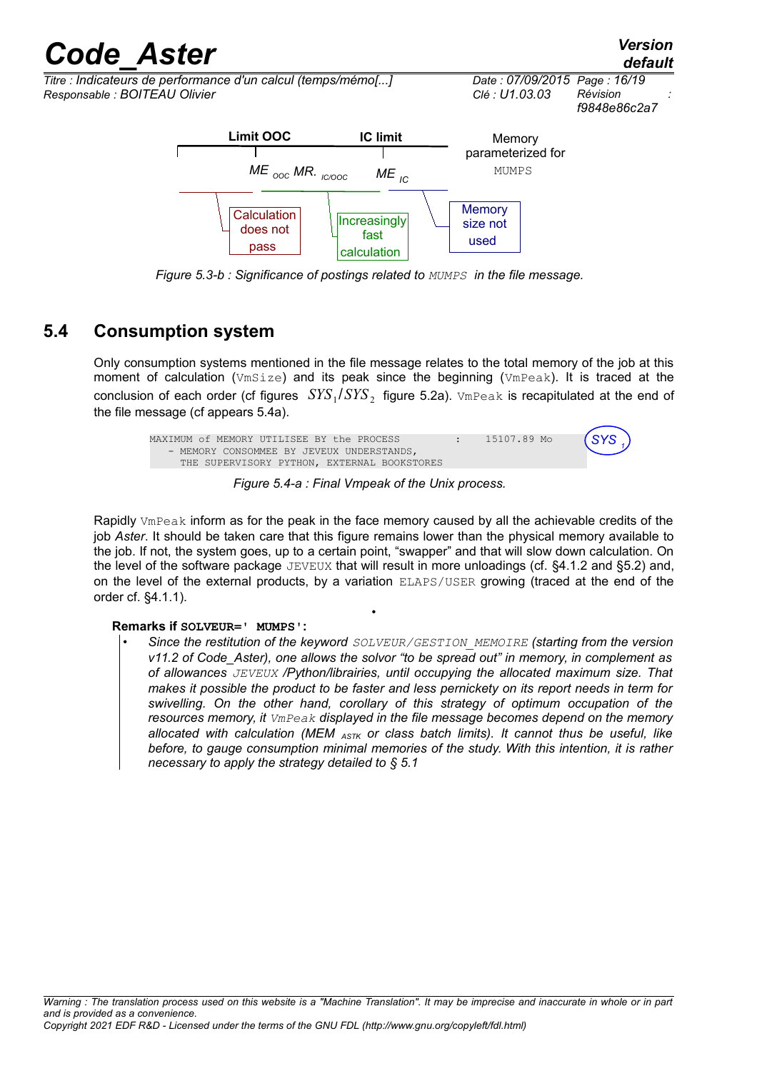*Responsable : BOITEAU Olivier Clé : U1.03.03 Révision :*

does not pass



used

*Figure 5.3-b : Significance of postings related to MUMPS in the file message.* calculation

fast

### **5.4 Consumption system**

Only consumption systems mentioned in the file message relates to the total memory of the job at this moment of calculation ( $Vmsize$ ) and its peak since the beginning ( $Vmsene$ ). It is traced at the conclusion of each order (cf figures  $\left. \text{SYS}_1 / \text{SYS}_2 \right.$  figure 5.2a).  $\text{VmPeak}$  is recapitulated at the end of the file message (cf appears 5.4a).



*Figure 5.4-a : Final Vmpeak of the Unix process.*

Rapidly VmPeak inform as for the peak in the face memory caused by all the achievable credits of the job *Aster*. It should be taken care that this figure remains lower than the physical memory available to the job. If not, the system goes, up to a certain point, "swapper" and that will slow down calculation. On the level of the software package JEVEUX that will result in more unloadings (cf. §4.1.2 and §5.2) and, on the level of the external products, by a variation ELAPS/USER growing (traced at the end of the order cf. §4.1.1).

•

### **Remarks if SOLVEUR=' MUMPS':**

• *Since the restitution of the keyword SOLVEUR/GESTION\_MEMOIRE (starting from the version v11.2 of Code\_Aster), one allows the solvor "to be spread out" in memory, in complement as of allowances JEVEUX /Python/librairies, until occupying the allocated maximum size. That makes it possible the product to be faster and less pernickety on its report needs in term for swivelling. On the other hand, corollary of this strategy of optimum occupation of the resources memory, it VmPeak displayed in the file message becomes depend on the memory allocated with calculation (MEM ASTK or class batch limits). It cannot thus be useful, like before, to gauge consumption minimal memories of the study. With this intention, it is rather necessary to apply the strategy detailed to § 5.1*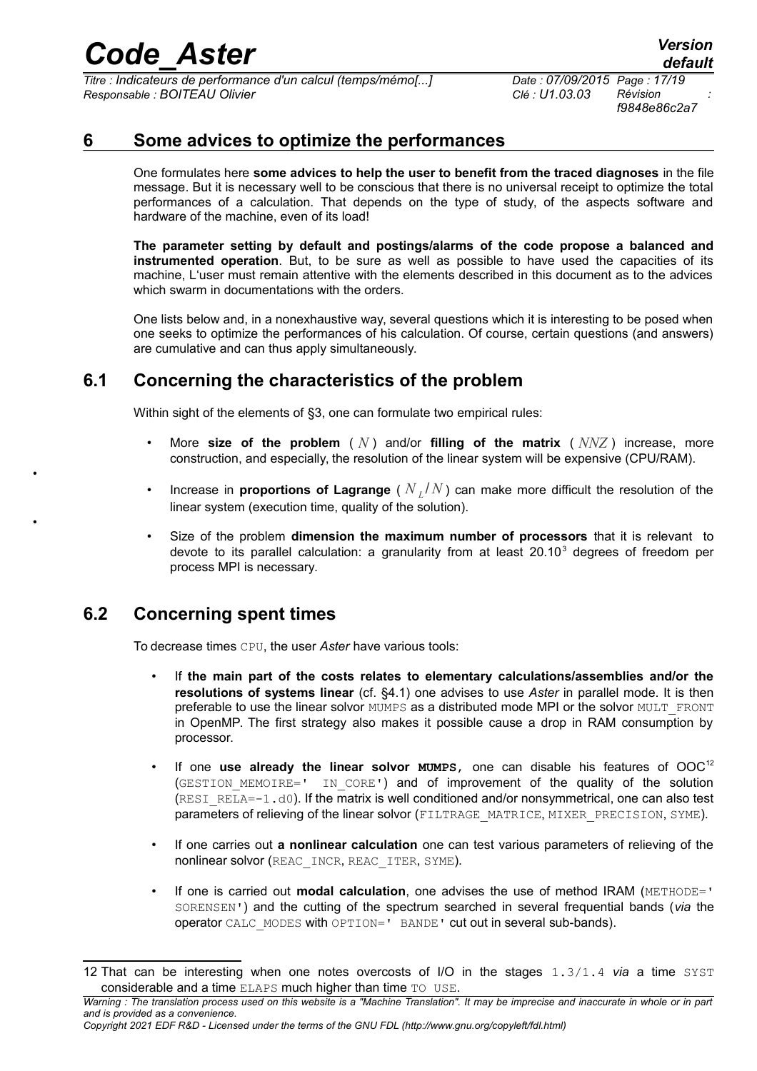*Titre : Indicateurs de performance d'un calcul (temps/mémo[...] Date : 07/09/2015 Page : 17/19 Responsable : BOITEAU Olivier Clé : U1.03.03 Révision :*

*f9848e86c2a7*

### **6 Some advices to optimize the performances**

One formulates here **some advices to help the user to benefit from the traced diagnoses** in the file message. But it is necessary well to be conscious that there is no universal receipt to optimize the total performances of a calculation. That depends on the type of study, of the aspects software and hardware of the machine, even of its load!

**The parameter setting by default and postings/alarms of the code propose a balanced and instrumented operation**. But, to be sure as well as possible to have used the capacities of its machine, L'user must remain attentive with the elements described in this document as to the advices which swarm in documentations with the orders.

One lists below and, in a nonexhaustive way, several questions which it is interesting to be posed when one seeks to optimize the performances of his calculation. Of course, certain questions (and answers) are cumulative and can thus apply simultaneously.

### **6.1 Concerning the characteristics of the problem**

Within sight of the elements of §3, one can formulate two empirical rules:

- More size of the problem  $(N)$  and/or filling of the matrix  $(N)/Z$  increase, more construction, and especially, the resolution of the linear system will be expensive (CPU/RAM).
- Increase in **proportions of Lagrange** ( *N <sup>L</sup>* /*N* ) can make more difficult the resolution of the linear system (execution time, quality of the solution).
- Size of the problem **dimension the maximum number of processors** that it is relevant to devote to its parallel calculation: a granularity from at least  $20.10<sup>3</sup>$  degrees of freedom per process MPI is necessary.

## **6.2 Concerning spent times**

•

•

To decrease times CPU, the user *Aster* have various tools:

- If **the main part of the costs relates to elementary calculations/assemblies and/or the resolutions of systems linear** (cf. §4.1) one advises to use *Aster* in parallel mode. It is then preferable to use the linear solvor MUMPS as a distributed mode MPI or the solvor MULT\_FRONT in OpenMP. The first strategy also makes it possible cause a drop in RAM consumption by processor.
- If one use already the linear solvor **MUMPS**, one can disable his features of OOC<sup>[12](#page-16-0)</sup> (GESTION MEMOIRE=' IN CORE') and of improvement of the quality of the solution  $(RESI<sub>RESI</sub>RELA=-1.d0)$ . If the matrix is well conditioned and/or nonsymmetrical, one can also test parameters of relieving of the linear solvor (FILTRAGE\_MATRICE, MIXER\_PRECISION, SYME).
- If one carries out **a nonlinear calculation** one can test various parameters of relieving of the nonlinear solvor (REAC\_INCR, REAC\_ITER, SYME).
- If one is carried out **modal calculation**, one advises the use of method IRAM (METHODE=' SORENSEN') and the cutting of the spectrum searched in several frequential bands (*via* the operator CALC\_MODES with OPTION=' BANDE' cut out in several sub-bands).

<span id="page-16-0"></span><sup>12</sup> That can be interesting when one notes overcosts of I/O in the stages 1.3/1.4 *via* a time SYST considerable and a time ELAPS much higher than time TO USE.

*Warning : The translation process used on this website is a "Machine Translation". It may be imprecise and inaccurate in whole or in part and is provided as a convenience.*

*Copyright 2021 EDF R&D - Licensed under the terms of the GNU FDL (http://www.gnu.org/copyleft/fdl.html)*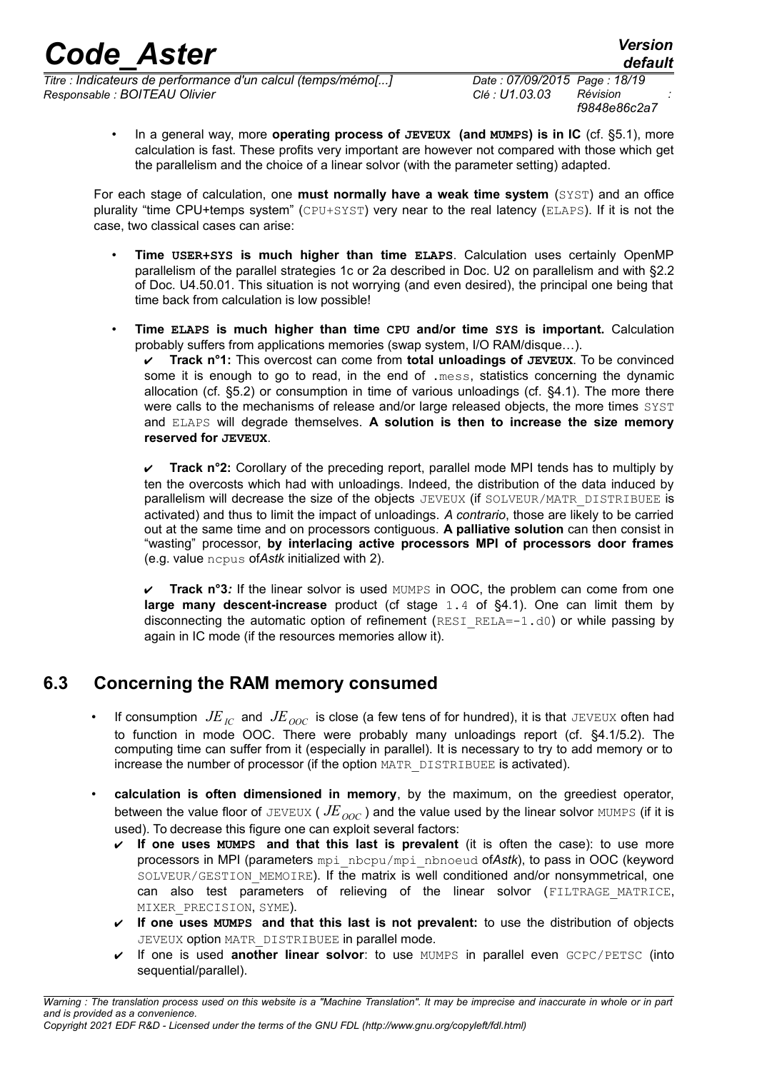*Titre : Indicateurs de performance d'un calcul (temps/mémo[...] Date : 07/09/2015 Page : 18/19 Responsable : BOITEAU Olivier Clé : U1.03.03 Révision :*

*f9848e86c2a7*

• In a general way, more **operating process of JEVEUX (and MUMPS) is in IC** (cf. §5.1), more calculation is fast. These profits very important are however not compared with those which get the parallelism and the choice of a linear solvor (with the parameter setting) adapted.

For each stage of calculation, one **must normally have a weak time system** (SYST) and an office plurality "time CPU+temps system" (CPU+SYST) very near to the real latency (ELAPS). If it is not the case, two classical cases can arise:

- **Time USER+SYS is much higher than time ELAPS**. Calculation uses certainly OpenMP parallelism of the parallel strategies 1c or 2a described in Doc. U2 on parallelism and with §2.2 of Doc. U4.50.01. This situation is not worrying (and even desired), the principal one being that time back from calculation is low possible!
- **Time ELAPS is much higher than time CPU and/or time SYS is important.** Calculation probably suffers from applications memories (swap system, I/O RAM/disque…).

✔ **Track n°1:** This overcost can come from **total unloadings of JEVEUX**. To be convinced some it is enough to go to read, in the end of .mess, statistics concerning the dynamic allocation (cf. §5.2) or consumption in time of various unloadings (cf. §4.1). The more there were calls to the mechanisms of release and/or large released objects, the more times SYST and ELAPS will degrade themselves. **A solution is then to increase the size memory reserved for JEVEUX**.

✔ **Track n°2:** Corollary of the preceding report, parallel mode MPI tends has to multiply by ten the overcosts which had with unloadings. Indeed, the distribution of the data induced by parallelism will decrease the size of the objects JEVEUX (if SOLVEUR/MATR\_DISTRIBUEE is activated) and thus to limit the impact of unloadings. *A contrario*, those are likely to be carried out at the same time and on processors contiguous. **A palliative solution** can then consist in "wasting" processor, **by interlacing active processors MPI of processors door frames** (e.g. value ncpus of*Astk* initialized with 2).

**Track n°3***:* If the linear solvor is used MUMPS in OOC, the problem can come from one **large many descent-increase** product (cf stage 1.4 of §4.1). One can limit them by disconnecting the automatic option of refinement (RESI\_RELA=-1.d0) or while passing by again in IC mode (if the resources memories allow it).

### **6.3 Concerning the RAM memory consumed**

- If consumption  $JE$ <sub>*IC*</sub> and  $JE$ <sub>*OOC*</sub> is close (a few tens of for hundred), it is that JEVEUX often had to function in mode OOC. There were probably many unloadings report (cf. §4.1/5.2). The computing time can suffer from it (especially in parallel). It is necessary to try to add memory or to increase the number of processor (if the option MATR\_DISTRIBUEE is activated).
- **calculation is often dimensioned in memory**, by the maximum, on the greediest operator, between the value floor of JEVEUX ( $JE_{OOC}$ ) and the value used by the linear solvor MUMPS (if it is used). To decrease this figure one can exploit several factors:
	- ✔ **If one uses MUMPS and that this last is prevalent** (it is often the case): to use more processors in MPI (parameters mpi\_nbcpu/mpi\_nbnoeud of*Astk*), to pass in OOC (keyword SOLVEUR/GESTION MEMOIRE). If the matrix is well conditioned and/or nonsymmetrical, one can also test parameters of relieving of the linear solvor (FILTRAGE MATRICE, MIXER\_PRECISION, SYME).
	- ✔ **If one uses MUMPS and that this last is not prevalent:** to use the distribution of objects JEVEUX option MATR DISTRIBUEE in parallel mode.
	- ✔ If one is used **another linear solvor**: to use MUMPS in parallel even GCPC/PETSC (into sequential/parallel).